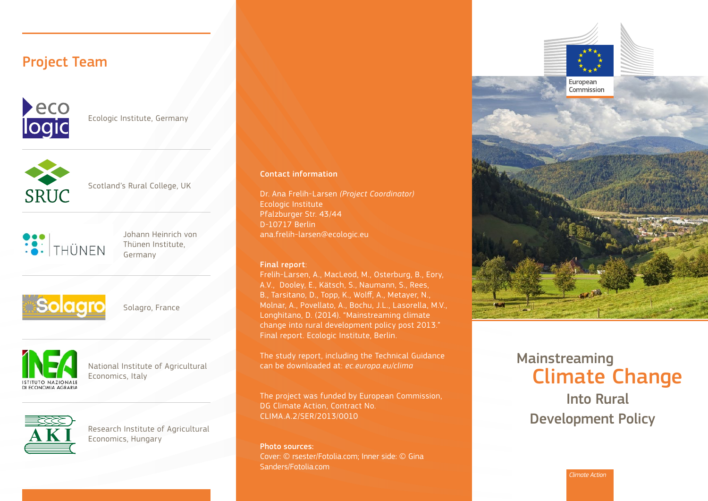# Project Team



Ecologic Institute, Germany



Scotland's Rural College, UK



Johann Heinrich von Thünen Institute, Germany



Solagro, France



National Institute of Agricultural Economics, Italy



Research Institute of Agricultural Economics, Hungary

#### Contact information

Dr. Ana Frelih-Larsen *(Project Coordinator)*  Ecologic Institute Pfalzburger Str. 43/44 D-10717 Berlin ana.frelih-larsen@ecologic.eu

#### Final report:

Frelih-Larsen, A., MacLeod, M., Osterburg, B., Eory, A.V., Dooley, E., Kätsch, S., Naumann, S., Rees, B., Tarsitano, D., Topp, K., Wolff, A., Metayer, N., Molnar, A., Povellato, A., Bochu, J.L., Lasorella, M.V., Longhitano, D. (2014). "Mainstreaming climate change into rural development policy post 2013." Final report. Ecologic Institute, Berlin.

The study report, including the Technical Guidance can be downloaded at: *[ec.europa.eu/clima](http://ec.europa.eu/clima/)* 

The project was funded by European Commission, DG Climate Action, Contract No. CLIMA.A.2/SER/2013/0010

Photo sources: Cover: © rsester/Fotolia.com; Inner side: © Gina Sanders/Fotolia.com



Mainstreaming Climate Change

Into Rural Development Policy

*Climate Action*